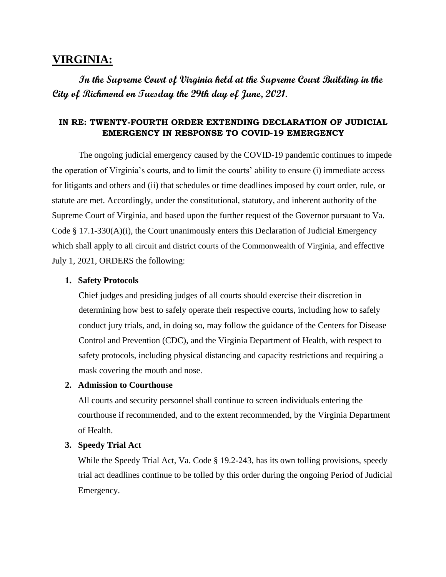# **VIRGINIA:**

**In the Supreme Court of Virginia held at the Supreme Court Building in the City of Richmond on Tuesday the 29th day of June, 2021.** 

## **IN RE: TWENTY-FOURTH ORDER EXTENDING DECLARATION OF JUDICIAL EMERGENCY IN RESPONSE TO COVID-19 EMERGENCY**

The ongoing judicial emergency caused by the COVID-19 pandemic continues to impede the operation of Virginia's courts, and to limit the courts' ability to ensure (i) immediate access for litigants and others and (ii) that schedules or time deadlines imposed by court order, rule, or statute are met. Accordingly, under the constitutional, statutory, and inherent authority of the Supreme Court of Virginia, and based upon the further request of the Governor pursuant to Va. Code § 17.1-330(A)(i), the Court unanimously enters this Declaration of Judicial Emergency which shall apply to all circuit and district courts of the Commonwealth of Virginia, and effective July 1, 2021, ORDERS the following:

#### **1. Safety Protocols**

Chief judges and presiding judges of all courts should exercise their discretion in determining how best to safely operate their respective courts, including how to safely conduct jury trials, and, in doing so, may follow the guidance of the Centers for Disease Control and Prevention (CDC), and the Virginia Department of Health, with respect to safety protocols, including physical distancing and capacity restrictions and requiring a mask covering the mouth and nose.

#### **2. Admission to Courthouse**

All courts and security personnel shall continue to screen individuals entering the courthouse if recommended, and to the extent recommended, by the Virginia Department of Health.

#### **3. Speedy Trial Act**

While the Speedy Trial Act, Va. Code § 19.2-243, has its own tolling provisions, speedy trial act deadlines continue to be tolled by this order during the ongoing Period of Judicial Emergency.